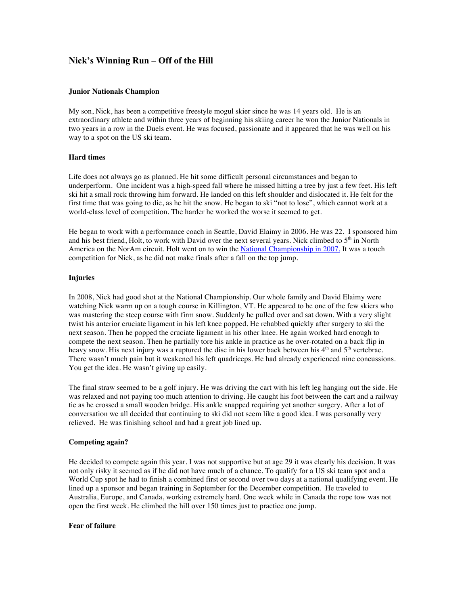# **Nick's Winning Run – Off of the Hill**

#### **Junior Nationals Champion**

My son, Nick, has been a competitive freestyle mogul skier since he was 14 years old. He is an extraordinary athlete and within three years of beginning his skiing career he won the Junior Nationals in two years in a row in the Duels event. He was focused, passionate and it appeared that he was well on his way to a spot on the US ski team.

### **Hard times**

Life does not always go as planned. He hit some difficult personal circumstances and began to underperform. One incident was a high-speed fall where he missed hitting a tree by just a few feet. His left ski hit a small rock throwing him forward. He landed on this left shoulder and dislocated it. He felt for the first time that was going to die, as he hit the snow. He began to ski "not to lose", which cannot work at a world-class level of competition. The harder he worked the worse it seemed to get.

He began to work with a performance coach in Seattle, David Elaimy in 2006. He was 22. I sponsored him and his best friend, Holt, to work with David over the next several years. Nick climbed to  $5<sup>th</sup>$  in North America on the NorAm circuit. Holt went on to win the National Championship in 2007. It was a touch competition for Nick, as he did not make finals after a fall on the top jump.

## **Injuries**

In 2008, Nick had good shot at the National Championship. Our whole family and David Elaimy were watching Nick warm up on a tough course in Killington, VT. He appeared to be one of the few skiers who was mastering the steep course with firm snow. Suddenly he pulled over and sat down. With a very slight twist his anterior cruciate ligament in his left knee popped. He rehabbed quickly after surgery to ski the next season. Then he popped the cruciate ligament in his other knee. He again worked hard enough to compete the next season. Then he partially tore his ankle in practice as he over-rotated on a back flip in heavy snow. His next injury was a ruptured the disc in his lower back between his  $4<sup>th</sup>$  and  $5<sup>th</sup>$  vertebrae. There wasn't much pain but it weakened his left quadriceps. He had already experienced nine concussions. You get the idea. He wasn't giving up easily.

The final straw seemed to be a golf injury. He was driving the cart with his left leg hanging out the side. He was relaxed and not paying too much attention to driving. He caught his foot between the cart and a railway tie as he crossed a small wooden bridge. His ankle snapped requiring yet another surgery. After a lot of conversation we all decided that continuing to ski did not seem like a good idea. I was personally very relieved. He was finishing school and had a great job lined up.

### **Competing again?**

He decided to compete again this year. I was not supportive but at age 29 it was clearly his decision. It was not only risky it seemed as if he did not have much of a chance. To qualify for a US ski team spot and a World Cup spot he had to finish a combined first or second over two days at a national qualifying event. He lined up a sponsor and began training in September for the December competition. He traveled to Australia, Europe, and Canada, working extremely hard. One week while in Canada the rope tow was not open the first week. He climbed the hill over 150 times just to practice one jump.

## **Fear of failure**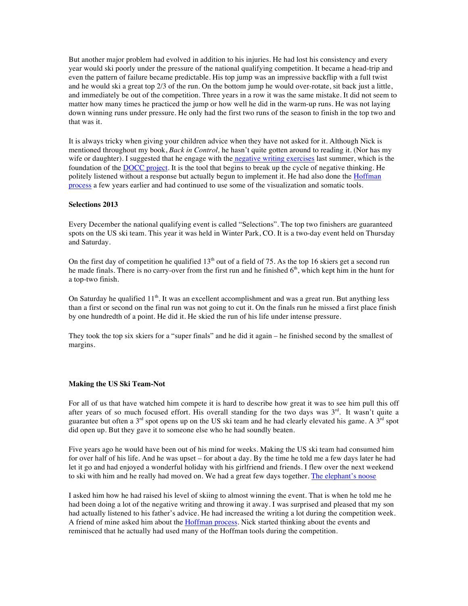But another major problem had evolved in addition to his injuries. He had lost his consistency and every year would ski poorly under the pressure of the national qualifying competition. It became a head-trip and even the pattern of failure became predictable. His top jump was an impressive backflip with a full twist and he would ski a great top 2/3 of the run. On the bottom jump he would over-rotate, sit back just a little, and immediately be out of the competition. Three years in a row it was the same mistake. It did not seem to matter how many times he practiced the jump or how well he did in the warm-up runs. He was not laying down winning runs under pressure. He only had the first two runs of the season to finish in the top two and that was it.

It is always tricky when giving your children advice when they have not asked for it. Although Nick is mentioned throughout my book, *Back in Control,* he hasn't quite gotten around to reading it. (Nor has my wife or daughter). I suggested that he engage with the negative writing exercises last summer, which is the foundation of the DOCC project. It is the tool that begins to break up the cycle of negative thinking. He politely listened without a response but actually begun to implement it. He had also done the Hoffman process a few years earlier and had continued to use some of the visualization and somatic tools.

### **Selections 2013**

Every December the national qualifying event is called "Selections". The top two finishers are guaranteed spots on the US ski team. This year it was held in Winter Park, CO. It is a two-day event held on Thursday and Saturday.

On the first day of competition he qualified  $13<sup>th</sup>$  out of a field of 75. As the top 16 skiers get a second run he made finals. There is no carry-over from the first run and he finished  $6<sup>th</sup>$ , which kept him in the hunt for a top-two finish.

On Saturday he qualified  $11<sup>th</sup>$ . It was an excellent accomplishment and was a great run. But anything less than a first or second on the final run was not going to cut it. On the finals run he missed a first place finish by one hundredth of a point. He did it. He skied the run of his life under intense pressure.

They took the top six skiers for a "super finals" and he did it again – he finished second by the smallest of margins.

#### **Making the US Ski Team-Not**

For all of us that have watched him compete it is hard to describe how great it was to see him pull this off after years of so much focused effort. His overall standing for the two days was 3<sup>rd</sup>. It wasn't quite a guarantee but often a  $3<sup>rd</sup>$  spot opens up on the US ski team and he had clearly elevated his game. A  $3<sup>rd</sup>$  spot did open up. But they gave it to someone else who he had soundly beaten.

Five years ago he would have been out of his mind for weeks. Making the US ski team had consumed him for over half of his life. And he was upset – for about a day. By the time he told me a few days later he had let it go and had enjoyed a wonderful holiday with his girlfriend and friends. I flew over the next weekend to ski with him and he really had moved on. We had a great few days together. The elephant's noose

I asked him how he had raised his level of skiing to almost winning the event. That is when he told me he had been doing a lot of the negative writing and throwing it away. I was surprised and pleased that my son had actually listened to his father's advice. He had increased the writing a lot during the competition week. A friend of mine asked him about the **Hoffman process**. Nick started thinking about the events and reminisced that he actually had used many of the Hoffman tools during the competition.